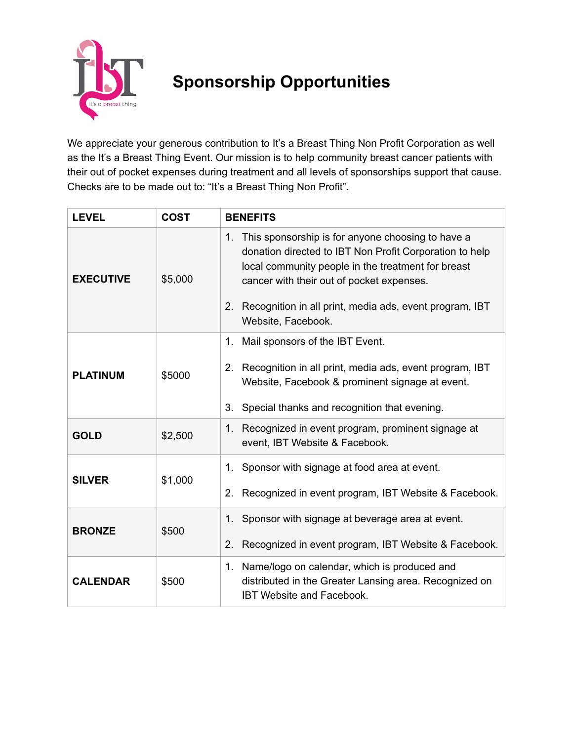

## **Sponsorship Opportunities**

We appreciate your generous contribution to It's a Breast Thing Non Profit Corporation as well as the It's a Breast Thing Event. Our mission is to help community breast cancer patients with their out of pocket expenses during treatment and all levels of sponsorships support that cause. Checks are to be made out to: "It's a Breast Thing Non Profit".

| <b>LEVEL</b>     | <b>COST</b> | <b>BENEFITS</b>                                                                                                                                                                                                                                                                                           |
|------------------|-------------|-----------------------------------------------------------------------------------------------------------------------------------------------------------------------------------------------------------------------------------------------------------------------------------------------------------|
| <b>EXECUTIVE</b> | \$5,000     | 1. This sponsorship is for anyone choosing to have a<br>donation directed to IBT Non Profit Corporation to help<br>local community people in the treatment for breast<br>cancer with their out of pocket expenses.<br>Recognition in all print, media ads, event program, IBT<br>2.<br>Website, Facebook. |
| <b>PLATINUM</b>  | \$5000      | Mail sponsors of the IBT Event.<br>1.<br>Recognition in all print, media ads, event program, IBT<br>2.<br>Website, Facebook & prominent signage at event.<br>3. Special thanks and recognition that evening.                                                                                              |
| <b>GOLD</b>      | \$2,500     | Recognized in event program, prominent signage at<br>1.<br>event, IBT Website & Facebook.                                                                                                                                                                                                                 |
| <b>SILVER</b>    | \$1,000     | 1. Sponsor with signage at food area at event.<br>Recognized in event program, IBT Website & Facebook.<br>2.                                                                                                                                                                                              |
| <b>BRONZE</b>    | \$500       | 1. Sponsor with signage at beverage area at event.<br>Recognized in event program, IBT Website & Facebook.<br>2.                                                                                                                                                                                          |
| <b>CALENDAR</b>  | \$500       | Name/logo on calendar, which is produced and<br>1.<br>distributed in the Greater Lansing area. Recognized on<br><b>IBT Website and Facebook.</b>                                                                                                                                                          |